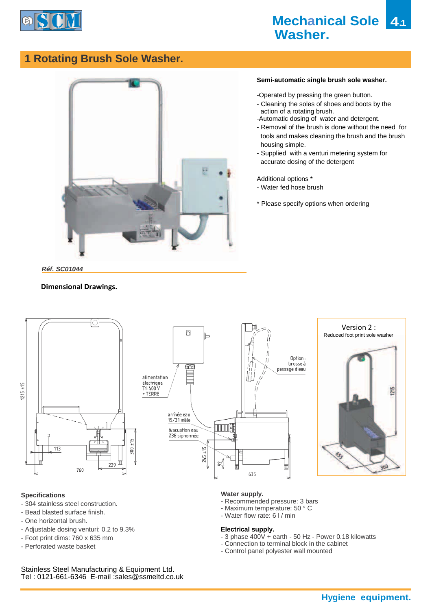

# **1 Rotating Brush Sole Washer.**



## **Semi-automatic single brush sole washer.**

-Operated by pressing the green button.

- Cleaning the soles of shoes and boots by the action of a rotating brush.
- -Automatic dosing of water and detergent.
- Removal of the brush is done without the need for tools and makes cleaning the brush and the brush housing simple.
- Supplied with a venturi metering system for accurate dosing of the detergent

Additional options \*

- Water fed hose brush
- \* Please specify options when ordering

# *Réf. SC01044*

## **Dimensional Drawings.**







### **Specifications**

- 304 stainless steel construction.
- Bead blasted surface finish.
- One horizontal brush.
- Adjustable dosing venturi: 0.2 to 9.3%
- Foot print dims: 760 x 635 mm
- Perforated waste basket

### **Water supply.**

- Recommended pressure: 3 bars
- Maximum temperature: 50 ° C
- Water flow rate: 6 l / min

#### **Electrical supply.**

- 3 phase 400V + earth 50 Hz Power 0.18 kilowatts
- Connection to terminal block in the cabinet
- Control panel polyester wall mounted

Stainless Steel Manufacturing & Equipment Ltd. Tel : 0121-661-6346 E-mail :sales@ssmeltd.co.uk

**Hygiene equipment.**